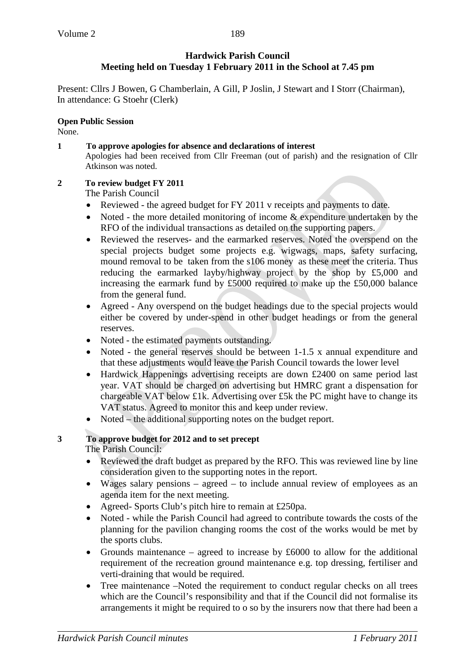Present: Cllrs J Bowen, G Chamberlain, A Gill, P Joslin, J Stewart and I Storr (Chairman), In attendance: G Stoehr (Clerk)

## **Open Public Session**

None.

**1 To approve apologies for absence and declarations of interest** Apologies had been received from Cllr Freeman (out of parish) and the resignation of Cllr Atkinson was noted.

## **2 To review budget FY 2011**

The Parish Council

- Reviewed the agreed budget for FY 2011 v receipts and payments to date.
- Noted the more detailed monitoring of income & expenditure undertaken by the RFO of the individual transactions as detailed on the supporting papers.
- Reviewed the reserves- and the earmarked reserves. Noted the overspend on the special projects budget some projects e.g. wigwags, maps, safety surfacing, mound removal to be taken from the s106 money as these meet the criteria. Thus reducing the earmarked layby/highway project by the shop by £5,000 and increasing the earmark fund by £5000 required to make up the £50,000 balance from the general fund.
- Agreed Any overspend on the budget headings due to the special projects would either be covered by under-spend in other budget headings or from the general reserves.
- Noted the estimated payments outstanding.
- Noted the general reserves should be between 1-1.5 x annual expenditure and that these adjustments would leave the Parish Council towards the lower level
- Hardwick Happenings advertising receipts are down £2400 on same period last year. VAT should be charged on advertising but HMRC grant a dispensation for chargeable VAT below £1k. Advertising over £5k the PC might have to change its VAT status. Agreed to monitor this and keep under review.
- Noted the additional supporting notes on the budget report.

## **3 To approve budget for 2012 and to set precept**

The Parish Council:

- Reviewed the draft budget as prepared by the RFO. This was reviewed line by line consideration given to the supporting notes in the report.
- Wages salary pensions agreed to include annual review of employees as an agenda item for the next meeting.
- Agreed- Sports Club's pitch hire to remain at £250pa.
- Noted while the Parish Council had agreed to contribute towards the costs of the planning for the pavilion changing rooms the cost of the works would be met by the sports clubs.
- Grounds maintenance agreed to increase by  $£6000$  to allow for the additional requirement of the recreation ground maintenance e.g. top dressing, fertiliser and verti-draining that would be required.
- Tree maintenance –Noted the requirement to conduct regular checks on all trees which are the Council's responsibility and that if the Council did not formalise its arrangements it might be required to o so by the insurers now that there had been a